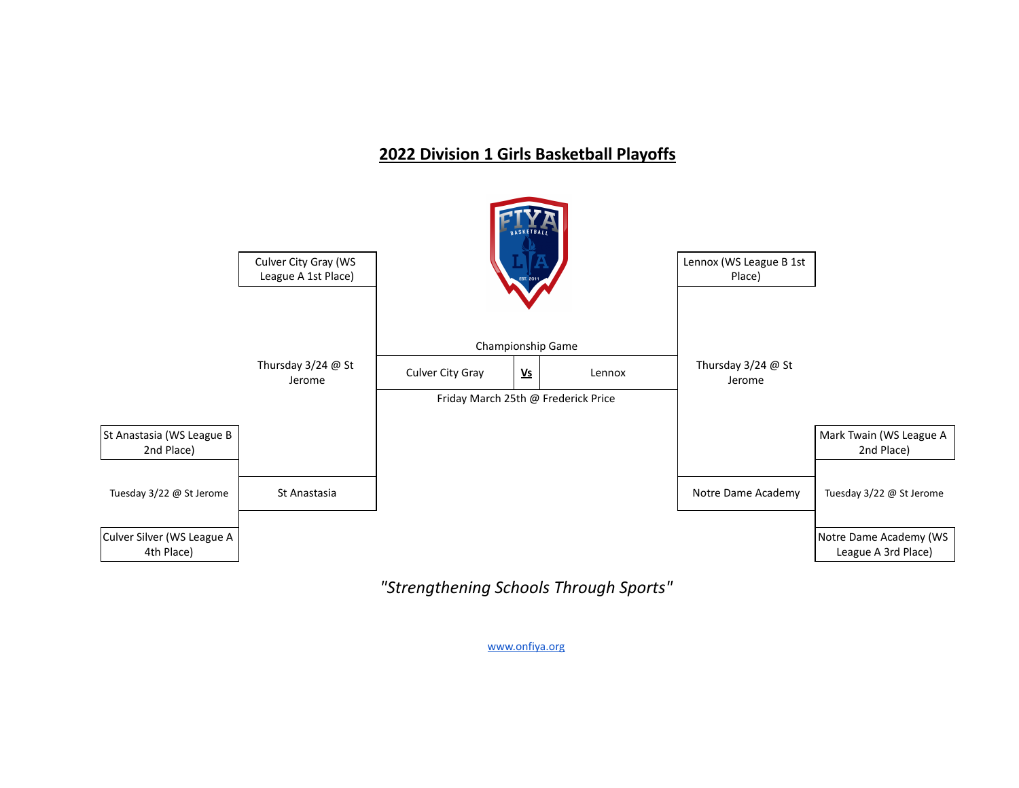# **2022 Division 1 Girls Basketball Playoffs**



*"Strengthening Schools Through Sports"*

[www.onfiya.org](http://www.onfiya.org/)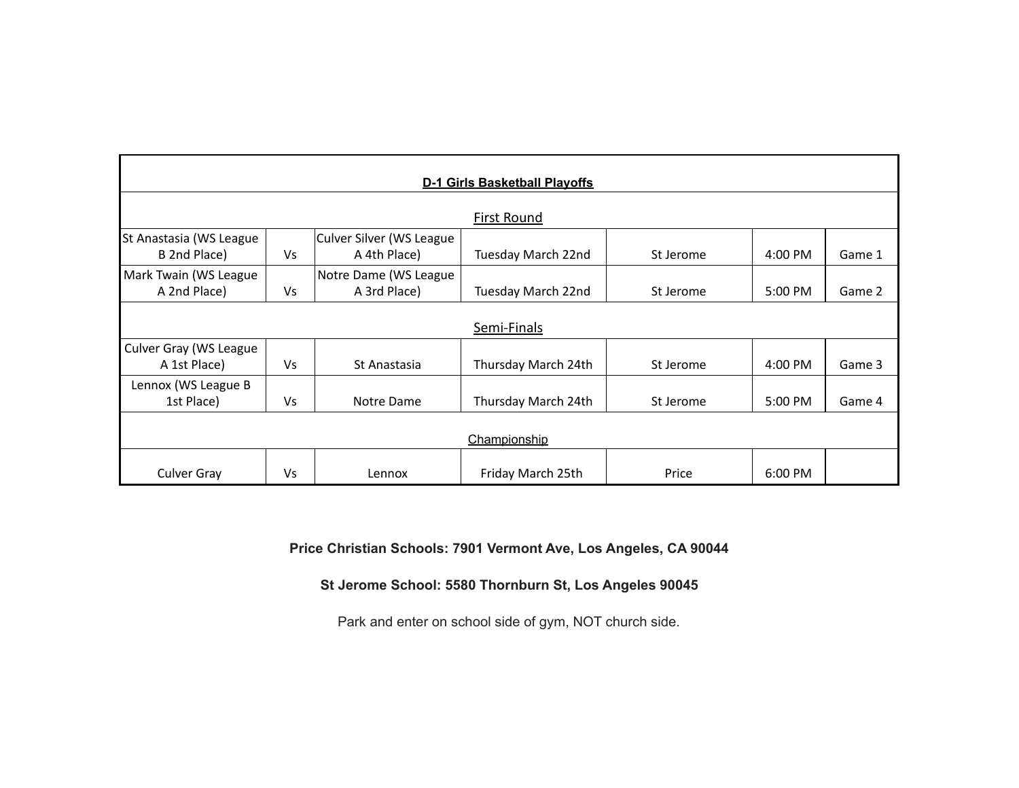| <b>D-1 Girls Basketball Playoffs</b> |           |                          |                     |           |           |        |  |  |  |  |  |
|--------------------------------------|-----------|--------------------------|---------------------|-----------|-----------|--------|--|--|--|--|--|
| <b>First Round</b>                   |           |                          |                     |           |           |        |  |  |  |  |  |
| St Anastasia (WS League              |           | Culver Silver (WS League |                     |           |           |        |  |  |  |  |  |
| B 2nd Place)                         | Vs        | A 4th Place)             | Tuesday March 22nd  | St Jerome | $4:00$ PM | Game 1 |  |  |  |  |  |
| Mark Twain (WS League                |           | Notre Dame (WS League    |                     |           |           |        |  |  |  |  |  |
| A 2nd Place)                         | Vs        | A 3rd Place)             | Tuesday March 22nd  | St Jerome | $5:00$ PM | Game 2 |  |  |  |  |  |
| Semi-Finals                          |           |                          |                     |           |           |        |  |  |  |  |  |
| Culver Gray (WS League               |           |                          |                     |           |           |        |  |  |  |  |  |
| A 1st Place)                         | <b>Vs</b> | St Anastasia             | Thursday March 24th | St Jerome | 4:00 PM   | Game 3 |  |  |  |  |  |
| Lennox (WS League B                  |           |                          |                     |           |           |        |  |  |  |  |  |
| 1st Place)                           | Vs        | Notre Dame               | Thursday March 24th | St Jerome | 5:00 PM   | Game 4 |  |  |  |  |  |
| Championship                         |           |                          |                     |           |           |        |  |  |  |  |  |
| <b>Culver Gray</b>                   | Vs        | Lennox                   | Friday March 25th   | Price     | 6:00 PM   |        |  |  |  |  |  |

**Price Christian Schools: 7901 Vermont Ave, Los Angeles, CA 90044**

**St Jerome School: 5580 Thornburn St, Los Angeles 90045**

Park and enter on school side of gym, NOT church side.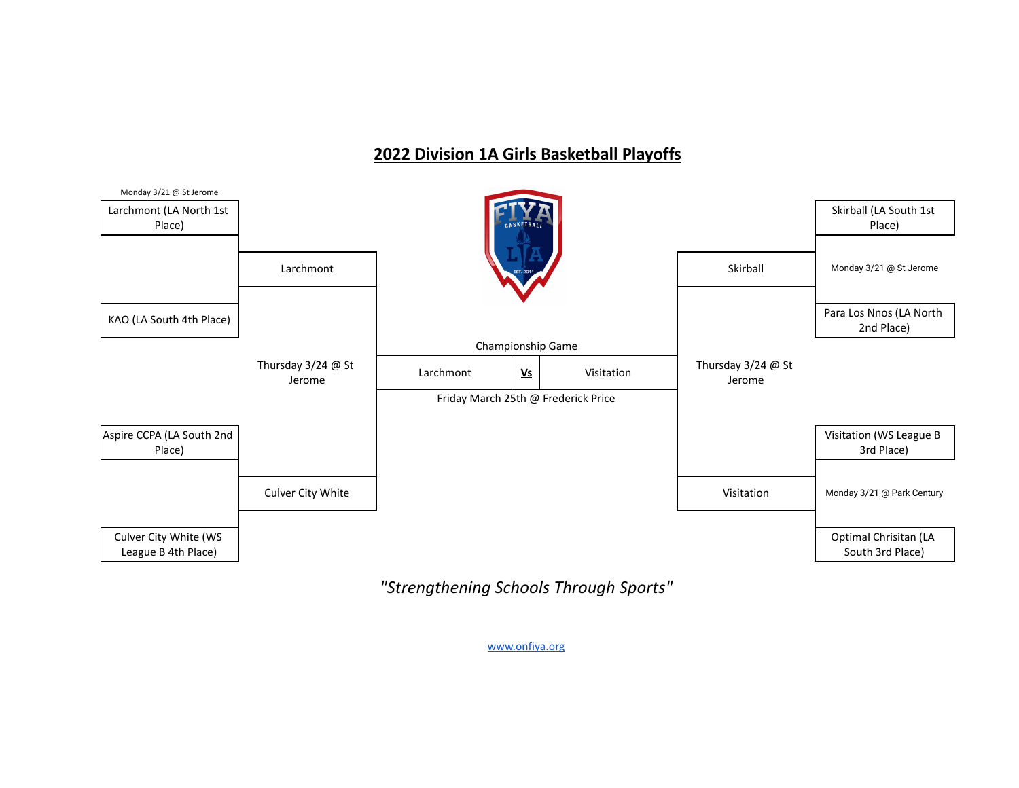## **2022 Division 1A Girls Basketball Playoffs**



*"Strengthening Schools Through Sports"*

[www.onfiya.org](http://www.onfiya.org/)